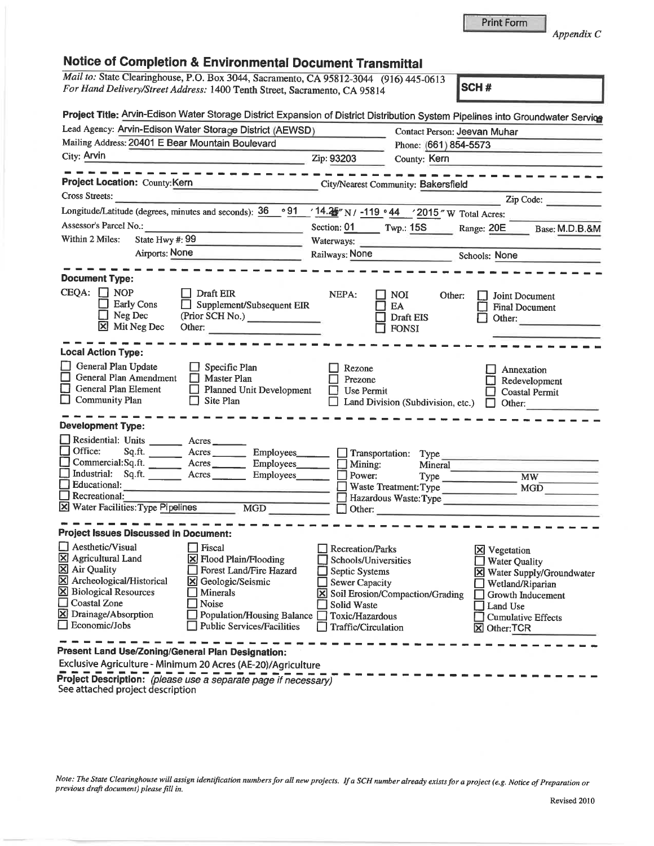Appendix C

| Mail to: State Clearinghouse, P.O. Box 3044, Sacramento, CA 95812-3044 (916) 445-0613<br>For Hand Delivery/Street Address: 1400 Tenth Street, Sacramento, CA 95814 |                                       | SCH#                                        |
|--------------------------------------------------------------------------------------------------------------------------------------------------------------------|---------------------------------------|---------------------------------------------|
|                                                                                                                                                                    |                                       |                                             |
| Project Title: Arvin-Edison Water Storage District Expansion of District Distribution System Pipelines into Groundwater Service                                    |                                       |                                             |
| Lead Agency: Arvin-Edison Water Storage District (AEWSD)                                                                                                           |                                       | Contact Person: Jeevan Muhar                |
| Mailing Address: 20401 E Bear Mountain Boulevard                                                                                                                   | Phone: (661) 854-5573                 |                                             |
| City: Arvin<br><u> 1989 - Johann John Marie (d. 1989)</u>                                                                                                          | Zip: 93203<br>County: Kern            |                                             |
| .                                                                                                                                                                  |                                       |                                             |
| Project Location: County:Kern                                                                                                                                      | City/Nearest Community: Bakersfield   |                                             |
| Cross Streets:                                                                                                                                                     |                                       | Zip Code:                                   |
| Longitude/Latitude (degrees, minutes and seconds): $36 \degree 91 / 14.25$ N / -119 $\degree 44 / 2015$ W Total Acres:                                             |                                       |                                             |
| Assessor's Parcel No.:                                                                                                                                             | Section: $01$ Twp.: 15S               | Range: 20E<br>Base: M.D.B.&M                |
| State Hwy #: 99<br>Within 2 Miles:                                                                                                                                 | Waterways:                            |                                             |
| Airports: None                                                                                                                                                     | Railways: None                        | Schools: None                               |
|                                                                                                                                                                    |                                       |                                             |
| <b>Document Type:</b>                                                                                                                                              |                                       |                                             |
| $CEQA: \Box NOP$<br>Draft EIR                                                                                                                                      | NEPA:<br>NOI.                         | Other:<br>Joint Document                    |
| <b>Early Cons</b><br>Supplement/Subsequent EIR                                                                                                                     | EA                                    | <b>Final Document</b>                       |
| Neg Dec<br>(Prior SCH No.)                                                                                                                                         | Draft EIS                             | Other:                                      |
| ⊠<br>Mit Neg Dec<br>Other:                                                                                                                                         | <b>FONSI</b>                          |                                             |
| <b>Local Action Type:</b>                                                                                                                                          |                                       |                                             |
| General Plan Update<br>Specific Plan                                                                                                                               | Rezone                                | Annexation                                  |
| General Plan Amendment<br>□<br>Master Plan<br>$\Box$                                                                                                               | Prezone                               | Redevelopment                               |
| General Plan Element<br><b>Planned Unit Development</b>                                                                                                            | Use Permit                            | Coastal Permit                              |
| ⊡<br><b>Community Plan</b><br>Site Plan                                                                                                                            | Land Division (Subdivision, etc.)     | Other:<br>H                                 |
| <b>Development Type:</b>                                                                                                                                           |                                       |                                             |
| Residential: Units                                                                                                                                                 |                                       |                                             |
| Office:<br>Sq.ft.<br>Acres Employees                                                                                                                               | $\Box$ Transportation:<br><b>Type</b> |                                             |
| Commercial:Sq.ft.<br>Acres Employees                                                                                                                               | $\Box$ Mining:<br>Mineral             |                                             |
| Industrial:<br>Sq.ft. Acres Employees                                                                                                                              | Power:                                | Type Type<br><b>MW</b>                      |
| Educational:                                                                                                                                                       | Waste Treatment: Type                 | MGD                                         |
| Recreational:                                                                                                                                                      |                                       | Hazardous Waste: Type                       |
| X Water Facilities: Type Pipelines<br>MGD                                                                                                                          | Other:                                |                                             |
| <b>Project Issues Discussed in Document:</b>                                                                                                                       |                                       |                                             |
| Aesthetic/Visual<br>Fiscal                                                                                                                                         | Recreation/Parks                      |                                             |
| $\boxtimes$ Agricultural Land<br><b>X</b> Flood Plain/Flooding                                                                                                     | Schools/Universities                  | <b>X</b> Vegetation<br><b>Water Quality</b> |
| <b>X</b> Air Quality<br>Forest Land/Fire Hazard                                                                                                                    | Septic Systems                        | X Water Supply/Groundwater                  |
| X Archeological/Historical<br>lхl<br>Geologic/Seismic                                                                                                              | <b>Sewer Capacity</b>                 | Wetland/Riparian                            |
| <b>X</b> Biological Resources<br>Minerals                                                                                                                          | Soil Erosion/Compaction/Grading       | Growth Inducement                           |
| $\Box$ Coastal Zone<br>Noise                                                                                                                                       | Solid Waste                           | Land Use                                    |
|                                                                                                                                                                    | Toxic/Hazardous                       | <b>Cumulative Effects</b>                   |
| X Drainage/Absorption<br><b>Population/Housing Balance</b><br>Economic/Jobs<br><b>Public Services/Facilities</b>                                                   |                                       |                                             |

Exclusive Agriculture -Minimum <sup>20</sup> Acres (AE-20)/Agriculture

**Project Description:** (please use a separate page if necessary)<br>See attached project description

Note: The State Clearinghouse will assign identification numbers for all new projects. If a SCH number already exists for a project (e.g. Notice of Preparation or<br>previous draft document) please fill in.